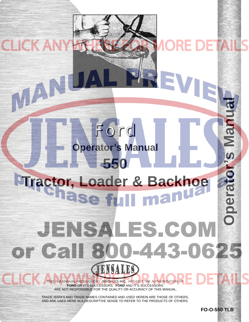# **Operator's Manual550 [Tractor, Loader & Backhoe](http://www.jensales.com/products/ford-550-tractor-loader-backhoe-operators-manual.html)** Operate man JENSALES.COM or Call 800-443-0625 **ISALES**

Ford

**CLICK AN** 

VAN

**Operator's Manual**

THIS IS A MANUAL PRODUCED BY **JENSALES INC.** WITHOUT THE AUTHORIZATION OF **FORD** OR IT'S SUCCESSORS. **FORD** AND IT'S SUCCESSORS ARE NOT RESPONSIBLE FOR THE QUALITY OR ACCURACY OF THIS MANUAL.

TRADE MARKS AND TRADE NAMES CONTAINED AND USED HEREIN ARE THOSE OF OTHERS, AND ARE USED HERE IN A DESCRIPTIVE SENSE TO REFER TO THE PRODUCTS OF OTHERS.

**FO-O-550 TLB**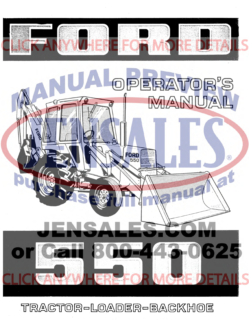

TRACTOR-LOADER-BACKHOE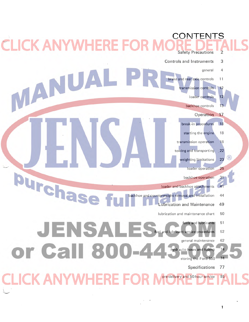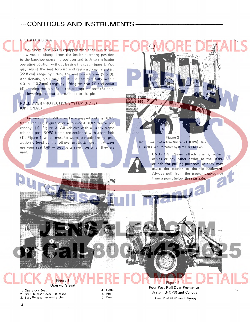## $-$  CONTROLS AND INSTRUMENTS -

Your new Ford 550 is equipped with a seat which allow you to change from the loader operating position to the backhoe operating position and back to the loader operating position without leaving the seat, Figure 1. You may adjust the seat forward and rearward over a 9.0 in. (22.8 em) range by lifting the seat release lever (2 & 3). Additionally, you may adjust the seat vertically over a 4.0 in. (10.2 em) range by lifting the seat (1) and collar (4), placing the pin (5) in the appropriate post (6) hole, and lowering the seat and collar onto the pin.

ROLL OVER PROTECTIVE SYSTEM (ROPS) (OPTIONAL)

r'>ERATOR'S SEAT

The new Ford 550 may be equipped with a ROPS frame cab (1), Figure 2, or a four-post ROPS frame and canopy (1) Figure 3. All vehicles with a ROPS frame cab or 4-post ROPS frame are equipped with a seat belt (1). Figure 4, which must be worn to maximize the protection offered by the roll over protective system. Always use your seat belt  $-$  seat belts save lives when they are used.

Figure 2 Roll Over Protective System (ROPS) Cab 1. Roll Over Protective System (ROPS) Cab

A

**DAD** ecn

> CAUTION: Never attach chains, ropes,  $(R)$ cables or any other device to the ROPS or cab for pulling purposes, as they may cause the tractor to the tip backward. Always pull from the tractor drawbar or from a point below the rear axle.

Figure 1 Operator's Seat

1. Operator's Seat 2. Seat Release Lever-Released

3. Seat Release Lever-Latched

4. Collar 5. Pin 6. Post

Four Post Roll Over Protective System (ROPS) and Canopy 1. Four Post ROPS and Canopy

Figure 3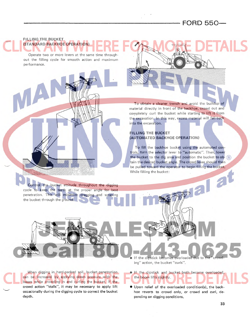### **[FORD 550-](http://www.jensales.com/products/ford-550-tractor-loader-backhoe-operators-manual.html)**

#### **FILLING THE BUCKET (STANDARD BACKHOE OPERATION)**

Operate two or more levers at the same time throughout the filling cycle for smooth action and maximum performance\_

> To obtain a cleaner trench and avoid the buildup of material directly in front of the backhoe, crowd out and completely curl the bucket while starting to lift it from the excavation. In this way, excess material will fall back into the excavation.

#### **FILLING THE BUCKET (AUTOMATED BACKHOE OPERATION)**

To fill the backhoe bucket using the automated controls, turn the selector lever to "automatic". Then, lower the bucket to the dig area and position the bucket to ob- $\left(\mathbf{R}\right)$ tain the desired bucket angle. The crowd lever should then be pulled toward the operator to begin filling the bucket. While filling the bucket:

Control the bucket attitude throughout the digging cycle to keep the teeth at the proper angle for best penetration. This will minimize dragging and scraping the bucket through the ground.

When digging in hard-packed soil, bucket penetration can be increased by applying down pressure with the boom while crowding in and curling the bucket. If the crowd action "stalls", it may be necessary to apply lift occasionally during the digging cycle to correct the bucket depth.

If the dipstick becomes overloaded due to ing" action, the bucket "curls".

- **If the dipstick and bucket both become overloaded,** the boom lifts slightly.
- Upon relief of the overloaded condition{s), the backhoe reverts to crowd only, or crowd and curl, depending on digging conditions.